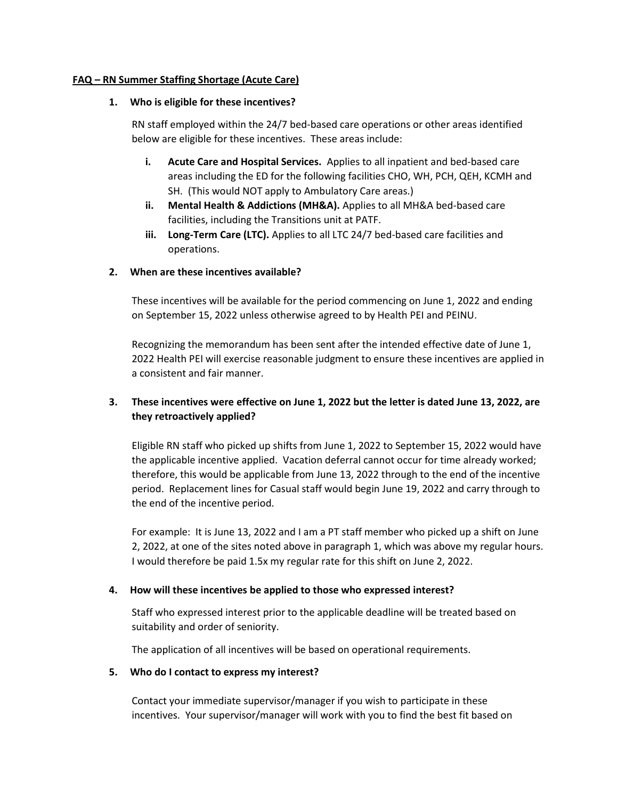### **FAQ – RN Summer Staffing Shortage (Acute Care)**

### **1. Who is eligible for these incentives?**

RN staff employed within the 24/7 bed-based care operations or other areas identified below are eligible for these incentives. These areas include:

- **i. Acute Care and Hospital Services.** Applies to all inpatient and bed-based care areas including the ED for the following facilities CHO, WH, PCH, QEH, KCMH and SH. (This would NOT apply to Ambulatory Care areas.)
- **ii. Mental Health & Addictions (MH&A).** Applies to all MH&A bed-based care facilities, including the Transitions unit at PATF.
- **iii. Long-Term Care (LTC).** Applies to all LTC 24/7 bed-based care facilities and operations.

### **2. When are these incentives available?**

These incentives will be available for the period commencing on June 1, 2022 and ending on September 15, 2022 unless otherwise agreed to by Health PEI and PEINU.

Recognizing the memorandum has been sent after the intended effective date of June 1, 2022 Health PEI will exercise reasonable judgment to ensure these incentives are applied in a consistent and fair manner.

# **3. These incentives were effective on June 1, 2022 but the letter is dated June 13, 2022, are they retroactively applied?**

Eligible RN staff who picked up shifts from June 1, 2022 to September 15, 2022 would have the applicable incentive applied. Vacation deferral cannot occur for time already worked; therefore, this would be applicable from June 13, 2022 through to the end of the incentive period. Replacement lines for Casual staff would begin June 19, 2022 and carry through to the end of the incentive period.

For example: It is June 13, 2022 and I am a PT staff member who picked up a shift on June 2, 2022, at one of the sites noted above in paragraph 1, which was above my regular hours. I would therefore be paid 1.5x my regular rate for this shift on June 2, 2022.

### **4. How will these incentives be applied to those who expressed interest?**

Staff who expressed interest prior to the applicable deadline will be treated based on suitability and order of seniority.

The application of all incentives will be based on operational requirements.

#### **5. Who do I contact to express my interest?**

Contact your immediate supervisor/manager if you wish to participate in these incentives. Your supervisor/manager will work with you to find the best fit based on